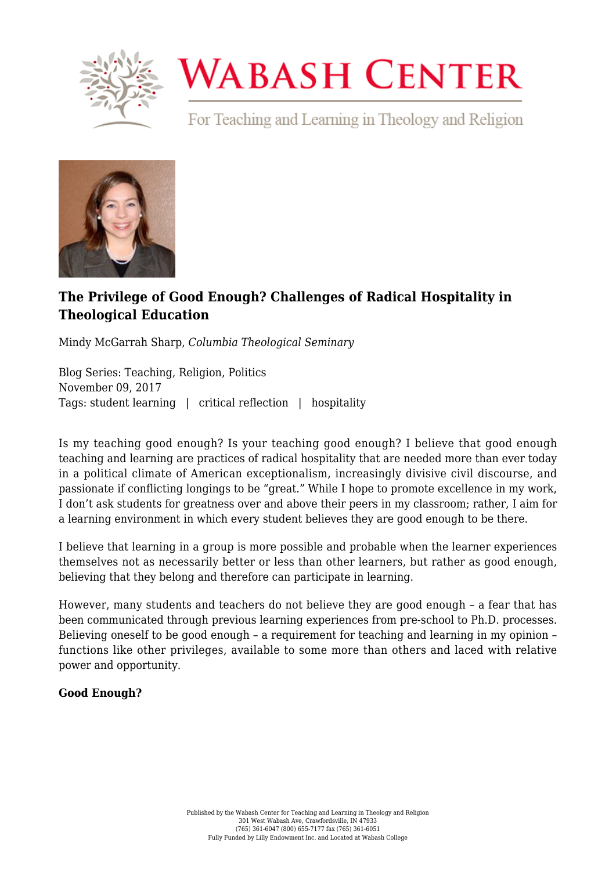

# **WABASH CENTER**

For Teaching and Learning in Theology and Religion



## **[The Privilege of Good Enough? Challenges of Radical Hospitality in](https://www.wabashcenter.wabash.edu/2017/11/privilege-good-enough-challenges-radical-hospitality-theological-education/) [Theological Education](https://www.wabashcenter.wabash.edu/2017/11/privilege-good-enough-challenges-radical-hospitality-theological-education/)**

Mindy McGarrah Sharp, *Columbia Theological Seminary*

Blog Series: Teaching, Religion, Politics November 09, 2017 Tags: student learning | critical reflection | hospitality

Is my teaching good enough? Is your teaching good enough? I believe that good enough teaching and learning are practices of radical hospitality that are needed more than ever today in a political climate of American exceptionalism, increasingly divisive civil discourse, and passionate if conflicting longings to be "great." While I hope to promote excellence in my work, I don't ask students for greatness over and above their peers in my classroom; rather, I aim for a learning environment in which every student believes they are good enough to be there.

I believe that learning in a group is more possible and probable when the learner experiences themselves not as necessarily better or less than other learners, but rather as good enough, believing that they belong and therefore can participate in learning.

However, many students and teachers do not believe they are good enough – a fear that has been communicated through previous learning experiences from pre-school to Ph.D. processes. Believing oneself to be good enough – a requirement for teaching and learning in my opinion – functions like other privileges, available to some more than others and laced with relative power and opportunity.

### **Good Enough?**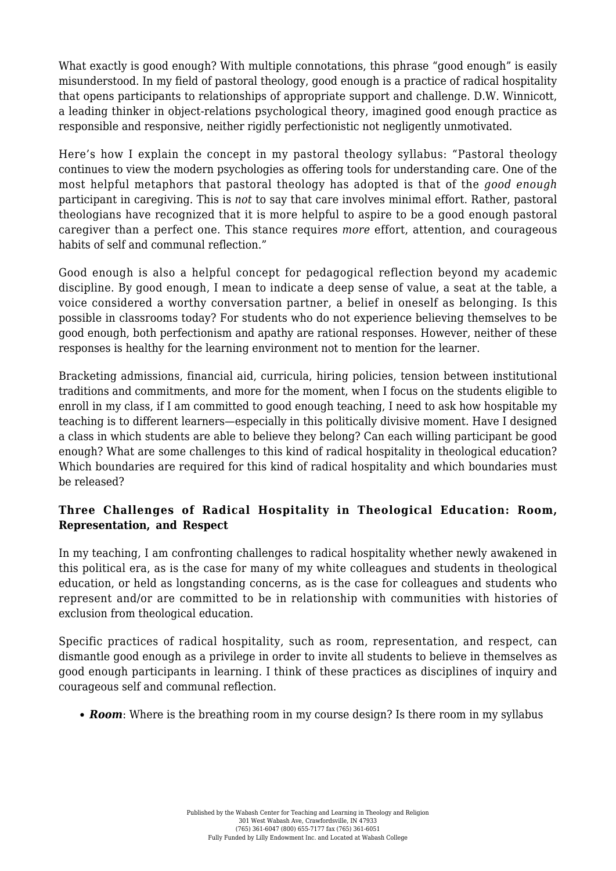What exactly is good enough? With multiple connotations, this phrase "good enough" is easily misunderstood. In my field of pastoral theology, good enough is a practice of radical hospitality that opens participants to relationships of appropriate support and challenge. D.W. Winnicott, a leading thinker in object-relations psychological theory, imagined good enough practice as responsible and responsive, neither rigidly perfectionistic not negligently unmotivated.

Here's how I explain the concept in my pastoral theology syllabus: "Pastoral theology continues to view the modern psychologies as offering tools for understanding care. One of the most helpful metaphors that pastoral theology has adopted is that of the *good enough* participant in caregiving. This is *not* to say that care involves minimal effort. Rather, pastoral theologians have recognized that it is more helpful to aspire to be a good enough pastoral caregiver than a perfect one. This stance requires *more* effort, attention, and courageous habits of self and communal reflection."

Good enough is also a helpful concept for pedagogical reflection beyond my academic discipline. By good enough, I mean to indicate a deep sense of value, a seat at the table, a voice considered a worthy conversation partner, a belief in oneself as belonging. Is this possible in classrooms today? For students who do not experience believing themselves to be good enough, both perfectionism and apathy are rational responses. However, neither of these responses is healthy for the learning environment not to mention for the learner.

Bracketing admissions, financial aid, curricula, hiring policies, tension between institutional traditions and commitments, and more for the moment, when I focus on the students eligible to enroll in my class, if I am committed to good enough teaching, I need to ask how hospitable my teaching is to different learners—especially in this politically divisive moment. Have I designed a class in which students are able to believe they belong? Can each willing participant be good enough? What are some challenges to this kind of radical hospitality in theological education? Which boundaries are required for this kind of radical hospitality and which boundaries must be released?

#### **Three Challenges of Radical Hospitality in Theological Education: Room, Representation, and Respect**

In my teaching, I am confronting challenges to radical hospitality whether newly awakened in this political era, as is the case for many of my white colleagues and students in theological education, or held as longstanding concerns, as is the case for colleagues and students who represent and/or are committed to be in relationship with communities with histories of exclusion from theological education.

Specific practices of radical hospitality, such as room, representation, and respect, can dismantle good enough as a privilege in order to invite all students to believe in themselves as good enough participants in learning. I think of these practices as disciplines of inquiry and courageous self and communal reflection.

*Room*: Where is the breathing room in my course design? Is there room in my syllabus